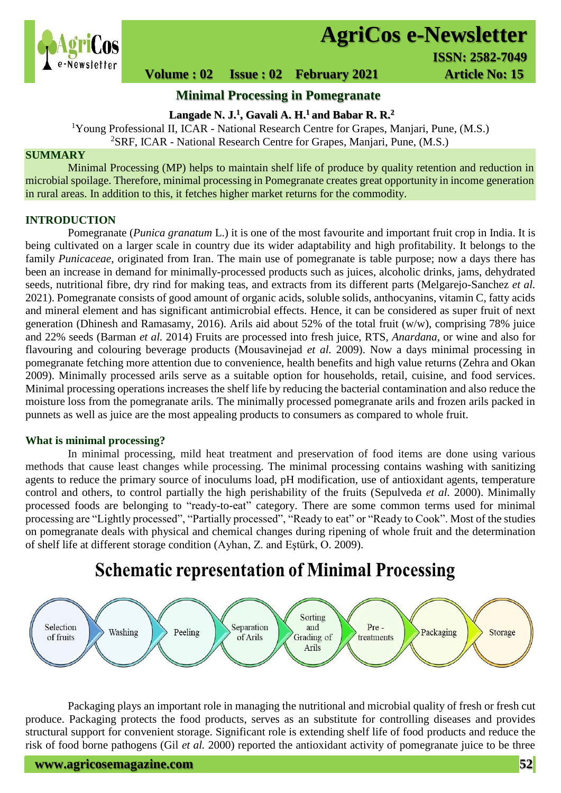

# **AgriCos e-Newsletter**

# **Volume : 02 Issue : 02 February 2021 Article No: 15**

**Minimal Processing in Pomegranate**

**Langade N. J.<sup>1</sup> , Gavali A. H.<sup>1</sup>and Babar R. R.<sup>2</sup>**

<sup>1</sup>Young Professional II, ICAR - National Research Centre for Grapes, Manjari, Pune, (M.S.) <sup>2</sup>SRF, ICAR - National Research Centre for Grapes, Manjari, Pune, (M.S.)

## **SUMMARY**

 Minimal Processing (MP) helps to maintain shelf life of produce by quality retention and reduction in microbial spoilage. Therefore, minimal processing in Pomegranate creates great opportunity in income generation in rural areas. In addition to this, it fetches higher market returns for the commodity.

# **INTRODUCTION**

Pomegranate (*Punica granatum* L.) it is one of the most favourite and important fruit crop in India. It is being cultivated on a larger scale in country due its wider adaptability and high profitability. It belongs to the family *Punicaceae*, originated from Iran. The main use of pomegranate is table purpose; now a days there has been an increase in demand for minimally-processed products such as juices, alcoholic drinks, jams, dehydrated seeds, nutritional fibre, dry rind for making teas, and extracts from its different parts (Melgarejo-Sanchez *et al.* 2021). Pomegranate consists of good amount of organic acids, soluble solids, anthocyanins, vitamin C, fatty acids and mineral element and has significant antimicrobial effects. Hence, it can be considered as super fruit of next generation (Dhinesh and Ramasamy, 2016). Arils aid about 52% of the total fruit (w/w), comprising 78% juice and 22% seeds (Barman *et al.* 2014) Fruits are processed into fresh juice, RTS, *Anardana*, or wine and also for flavouring and colouring beverage products (Mousavinejad *et al.* 2009). Now a days minimal processing in pomegranate fetching more attention due to convenience, health benefits and high value returns (Zehra and Okan 2009). Minimally processed arils serve as a suitable option for households, retail, cuisine, and food services. Minimal processing operations increases the shelf life by reducing the bacterial contamination and also reduce the moisture loss from the pomegranate arils. The minimally processed pomegranate arils and frozen arils packed in punnets as well as juice are the most appealing products to consumers as compared to whole fruit.

## **What is minimal processing?**

In minimal processing, mild heat treatment and preservation of food items are done using various methods that cause least changes while processing. The minimal processing contains washing with sanitizing agents to reduce the primary source of inoculums load, pH modification, use of antioxidant agents, temperature control and others, to control partially the high perishability of the fruits (Sepulveda *et al.* 2000). Minimally processed foods are belonging to "ready-to-eat" category. There are some common terms used for minimal processing are "Lightly processed", "Partially processed", "Ready to eat" or "Ready to Cook". Most of the studies on pomegranate deals with physical and chemical changes during ripening of whole fruit and the determination of shelf life at different storage condition (Ayhan, Z. and Eştürk, O. 2009).

# **Schematic representation of Minimal Processing**



Packaging plays an important role in managing the nutritional and microbial quality of fresh or fresh cut produce. Packaging protects the food products, serves as an substitute for controlling diseases and provides structural support for convenient storage. Significant role is extending shelf life of food products and reduce the risk of food borne pathogens (Gil *et al.* 2000) reported the antioxidant activity of pomegranate juice to be three